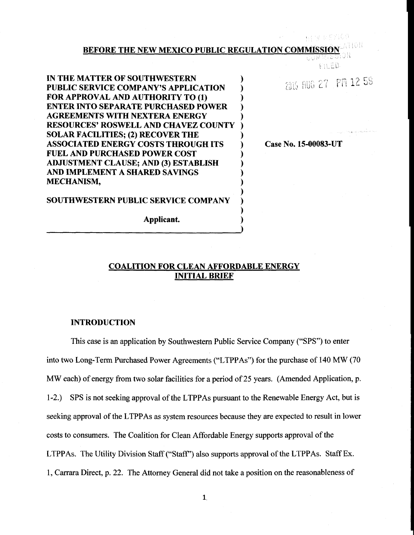## **BEFORE THE NEW MEXICO PUBLIC REGULATION COMMISSION**

**) ) ) ) )**

FILED.

erny veyico

**IN THE MATTER OF SOUTHWESTERN ) PUBLIC SERVICE COMPANY'S APPLICATION ) FOR APPROVAL AND AUTHORITY TO (1) ) ENTER INTO SEPARATE PURCHASED POWER) AGREEMENTS WITH NEXTERA ENERGY ) RESOURCES' ROSWELL AND CHAVEZ COUNTY) SOLAR FACILITIES; (2) RECOVER THE ) ASSOCIATED ENERGY COSTS THROUGH ITS ) FUEL AND PURCHASED POWER COST ) ADJUSTMENT CLAUSE; AND (3) ESTABLISH ) AND IMPLEMENT A SHARED SAVINGS ) MECHANISM, )**

**SOUTHWESTERN PUBLIC SERVICE COMPANY**

**Applicant.**

2015 AUG 27 PM 12 59

**Case No. 15-00083-UT**

## **COALITION FOR CLEAN AFFORDABLE ENERGY INITIAL BRIEF**

## **INTRODUCTION**

This case is an application by Southwestern Public Service Company ("SPS") to enter into two Long-Term Purchased Power Agreements ("LTPPAs") for the purchase of 140 MW (70 MW each) of energy from two solar facilities for a period of 25 years. (Amended Application, p. 1-2.) SPS is not seeking approval of the LTPPAs pursuant to the Renewable Energy Act, but is seeking approval of the LTPPAs as system resources because they are expected to result in lower costs to consumers. The Coalition for Clean Affordable Energy supports approval of the LTPPAs. The Utility Division Staff ("Staff') also supports approval of the LTPPAs. Staff Ex. 1, Carrara Direct, p. 22. The Attorney General did not take a position on the reasonableness of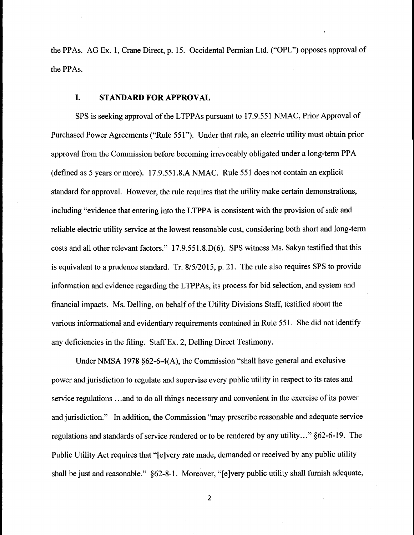the PPAs. AG Ex. 1, Crane Direct, p. 15. Occidental Permian Ltd. ("OPL") opposes approval of the PPAs.

## **I. STANDARD FOR APPROVAL**

SPS is seeking approval of the LTPPAs pursuant to 17.9.551 NMAC, Prior Approval of Purchased Power Agreements ("Rule 551"). Under that rule, an electric utility must obtain prior approval from the Commission before becoming irrevocably obligated under a long-term PPA (defined as 5 years or more). 17.9.551.8.A NMAC. Rule 551 does not contain an explicit standard for approval. However, the rule requires that the utility make certain demonstrations, including "evidence that entering into the LTPPA is consistent with the provision of safe and reliable electric utility service at the lowest reasonable cost, considering both short and long-term costs and all other relevant factors." 17.9.551.8.D(6). SPS witness Ms. Sakya testified that this is equivalent to a prudence standard. Tr. 8/5/2015, p. 21. The rule also requires SPS to provide information and evidence regarding the LTPPAs, its process for bid selection, and system and financial impacts. Ms. Delling, on behalf of the Utility Divisions Staff, testified about the various informational and evidentiary requirements contained in Rule 551. She did not identify any deficiencies in the filing. Staff Ex. 2, Delling Direct Testimony.

Under NMSA 1978 §62-6-4(A), the Commission "shall have general and exclusive power and jurisdiction to regulate and supervise every public utility in respect to its rates and service regulations ...and to do all things necessary and convenient in the exercise of its power and jurisdiction." In addition, the Commission "may prescribe reasonable and adequate service regulations and standards of service rendered or to be rendered by any utility..." §62-6-19. The Public Utility Act requires that "[e]very rate made, demanded or received by any public utility shall be just and reasonable." §62-8-1. Moreover, "[e]very public utility shall furnish adequate,

 $\overline{2}$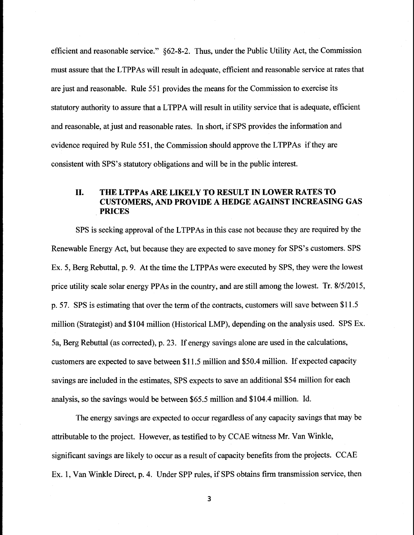efficient and reasonable service." §62-8-2. Thus, under the Public Utility Act, the Commission must assure that the LTPPAs will result in adequate, efficient and reasonable service at rates that are just and reasonable. Rule 551 provides the means for the Commission to exercise its statutory authority to assure that a LTPPA will result in utility service that is adequate, efficient and reasonable, at just and reasonable rates. In short, if SPS provides the information and evidence required by Rule 551, the Commission should approve the LTPPAs if they are consistent with SPS's statutory obligations and will be in the public interest.

## II. **THE LTPPAs** ARE LIKELY TO RESULT IN LOWER RATES TO **CUSTOMERS, AND PROVIDE A HEDGE AGAINST INCREASING GAS PRICES**

SPS is seeking approval of the LTPPAs in this case not because they are required by the Renewable Energy Act, but because they are expected to save money for SPS's customers. SPS Ex. 5, Berg Rebuttal, p. 9. At the time the LTPPAs were executed by SPS, they were the lowest price utility scale solar energy PPAs in the country, and are still among the lowest. Tr. 8/5/2015, p. 57. SPS is estimating that over the term of the contracts, customers will save between \$11.5 million (Strategist) and \$104 million (Historical LMP), depending on the analysis used. SPS Ex. 5a, Berg Rebuttal (as corrected), p. 23. If energy savings alone are used in the calculations, customers are expected to save between \$11.5 million and \$50.4 million. If expected capacity savings are included in the estimates, SPS expects to save an additional \$54 million for each analysis, so the savings would be between \$65.5 million and \$104.4 million. Id.

The energy savings are expected to occur regardless of any capacity savings that may be attributable to the project. However, as testified to by CCAE witness Mr. Van Winkle, significant savings are likely to occur as a result of capacity benefits from the projects. CCAE Ex. 1, Van Winkle Direct, p. 4. Under SPP rules, if SPS obtains firm transmission service, then

 $\overline{\mathbf{3}}$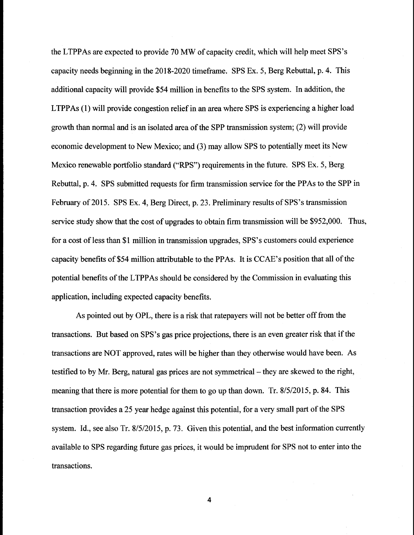the LTPPAs are expected to provide 70 MW of capacity credit, which will help meet SPS's capacity needs beginning in the 2018-2020 timeframe. SPS Ex. 5, Berg Rebuttal, p. 4. This additional capacity will provide \$54 million in benefits to the SPS system. In addition, the LTPPAs (1) will provide congestion relief in an area where SPS is experiencing a higher load growth than normal and is an isolated area of the SPP transmission system; (2) will provide economic development to New Mexico; and (3) may allow SPS to potentially meet its New Mexico renewable portfolio standard ("RPS") requirements in the future. SPS Ex. 5, Berg Rebuttal, p. 4. SPS submitted requests for firm transmission service for the PPAs to the SPP in February of 2015. SPS Ex. 4, Berg Direct, p. 23. Preliminary results of SPS's transmission service study show that the cost of upgrades to obtain firm transmission will be \$952,000. Thus, for a cost of less than \$1 million in transmission upgrades, SPS's customers could experience capacity benefits of \$54 million attributable to the PPAs. It is CCAE's position that all of the potential benefits of the LTPPAs should be considered by the Commission in evaluating this application, including expected capacity benefits.

As pointed out by OPL, there is a risk that ratepayers will not be better off from the transactions. But based on SPS's gas price projections, there is an even greater risk that if the transactions are NOT approved, rates will be higher than they otherwise would have been. As testified to by Mr. Berg, natural gas prices are not symmetrical - they are skewed to the right, meaning that there is more potential for them to go up than down. Tr. 8/5/2015, p. 84. This transaction provides a 25 year hedge against this potential, for a very small part of the SPS system. Id., see also Tr. 8/5/2015, p. 73. Given this potential, and the best information currently available to SPS regarding future gas prices, it would be imprudent for SPS not to enter into the transactions.

4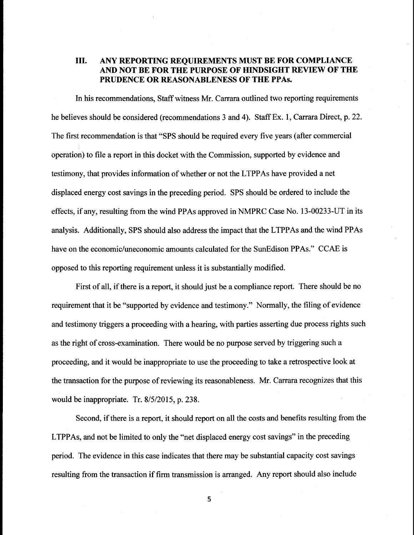# **III. ANY REPORTING REQUIREMENTS MUST BE FOR COMPLIANCE AND NOT BE FOR THE PURPOSE OF HINDSIGHT REVIEW OF THE PRUDENCE OR REASONABLENESS OF THE PPAs.**

In his recommendations, Staff witness Mr. Carrara outlined two reporting requirements he believes should be considered (recommendations 3 and 4). Staff Ex. 1, Carrara Direct, p. 22. The first recommendation is that "SPS should be required every five years (after commercial operation) to file a report in this docket with the Commission, supported by evidence and testimony, that provides information of whether or not the LTPPAs have provided a net displaced energy cost savings in the preceding period. SPS should be ordered to include the effects, if any, resulting from the wind PPAs approved in NMPRC Case No. 13-00233-UT in its analysis. Additionally, SPS should also address the impact that the LTPPAs and the wind PPAs have on the economic/uneconomic amounts calculated for the SunEdison PPAs." CCAE is opposed to this reporting requirement unless it is substantially modified.

First of all, if there is a report, it should just be a compliance report. There should be no requirement that it be "supported by evidence and testimony." Normally, the filing of evidence and testimony triggers a proceeding with a hearing, with parties asserting due process rights such as the right of cross-examination. There would be no purpose served by triggering such a proceeding, and it would be inappropriate to use the proceeding to take a retrospective look at the transaction for the purpose of reviewing its reasonableness. Mr. Carrara recognizes that this would be inappropriate. Tr. 8/5/2015, p. 238.

Second, if there is a report, it should report on all the costs and benefits resulting from the LTPPAs, and not be limited to only the "net displaced energy cost savings" in the preceding period. The evidence in this case indicates that there may be substantial capacity cost savings resulting from the transaction if firm transmission is arranged. Any report should also include

5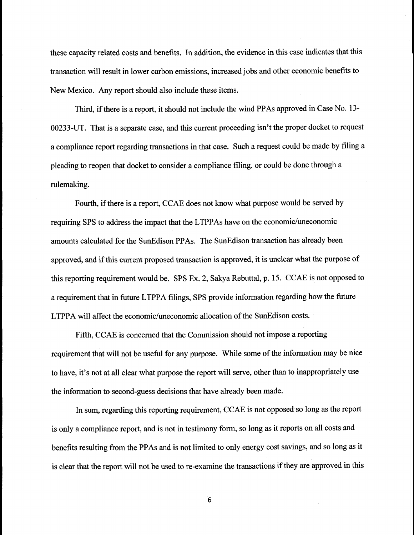these capacity related costs and benefits. In addition, the evidence in this case indicates that this transaction will result in lower carbon emissions, increased jobs and other economic benefits to New Mexico. Any report should also include these items.

Third, if there is a report, it should not include the wind PPAs approved in Case No. 13- 00233-UT. That is a separate case, and this current proceeding isn't the proper docket to request a compliance report regarding transactions in that case. Such a request could be made by filing a pleading to reopen that docket to consider a compliance filing, or could be done through a rulemaking.

Fourth, if there is a report, CCAE does not know what purpose would be served by requiring SPS to address the impact that the LTPPAs have on the economic/uneconomic amounts calculated for the SunEdison PPAs. The SunEdison transaction has already been approved, and if this current proposed transaction is approved, it is unclear what the purpose of this reporting requirement would be. SPS Ex. 2, Sakya Rebuttal, p. 15. CCAE is not opposed to a requirement that in future LTPPA filings, SPS provide information regarding how the future LTPPA will affect the economic/uneconomic allocation of the SunEdison costs.

Fifth, CCAE is concerned that the Commission should not impose a reporting requirement that will not be useful for any purpose. While some of the information may be nice to have, it's not at all clear what purpose the report will serve, other than to inappropriately use the information to second-guess decisions that have already been made.

In sum, regarding this reporting requirement, CCAE is not opposed so long as the report is only a compliance report, and is not in testimony form, so long as it reports on all costs and benefits resulting from the PPAs and is not limited to only energy cost savings, and so long as it is clear that the report will not be used to re-examine the transactions if they are approved in this

6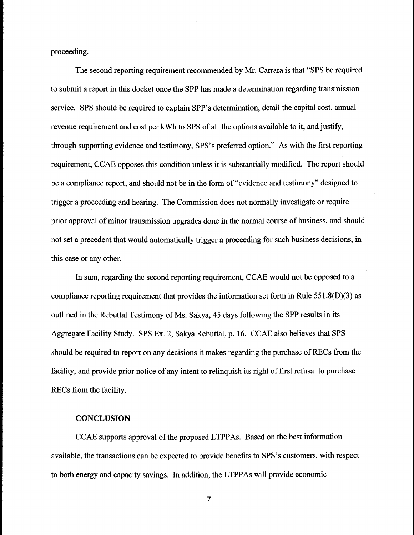proceeding.

The second reporting requirement recommended by Mr. Carrara is that "SPS be required to submit a report in this docket once the SPP has made a determination regarding transmission service. SPS should be required to explain SPP's determination, detail the capital cost, annual revenue requirement and cost per kWh to SPS of all the options available to it, and justify, through supporting evidence and testimony, SPS's preferred option." As with the first reporting requirement, CCAE opposes this condition unless it is substantially modified. The report should be a compliance report, and should not be in the form of "evidence and testimony" designed to trigger a proceeding and hearing. The Commission does not normally investigate or require prior approval of minor transmission upgrades done in the normal course of business, and should not set a precedent that would automatically trigger a proceeding for such business decisions, in this case or any other.

In sum, regarding the second reporting requirement, CCAE would not be opposed to a compliance reporting requirement that provides the information set forth in Rule 551.8(D)(3) as outlined in the Rebuttal Testimony of Ms. Sakya, 45 days following the SPP results in its Aggregate Facility Study. SPS Ex. 2, Sakya Rebuttal, p. 16. CCAE also believes that SPS should be required to report on any decisions it makes regarding the purchase of RECs from the facility, and provide prior notice of any intent to relinquish its right of first refusal to purchase RECs from the facility.

## **CONCLUSION**

CCAE supports approval of the proposed LTPPAs. Based on the best information available, the transactions can be expected to provide benefits to SPS's customers, with respect to both energy and capacity savings. In addition, the LTPPAs will provide economic

 $\overline{7}$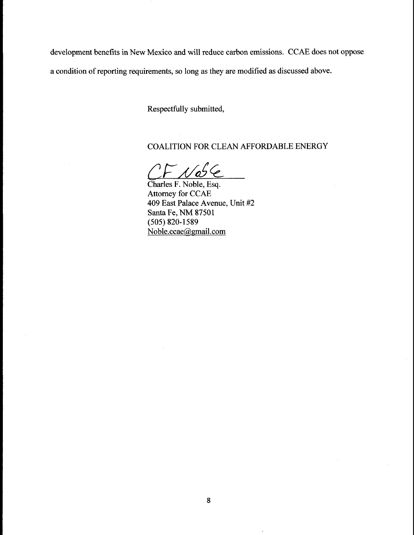development benefits in New Mexico and will reduce carbon emissions. CCAE does not oppose a condition of reporting requirements, so long as they are modified as discussed above.

Respectfully submitted,

# COALITION FOR CLEAN AFFORDABLE ENERGY

'' Ce

Charles F. Noble, Esq. Attorney for CCAE 409 East Palace Avenue, Unit #2 Santa Fe, NM 87501 (505) 820-1589 Noble.ccae@gmail.com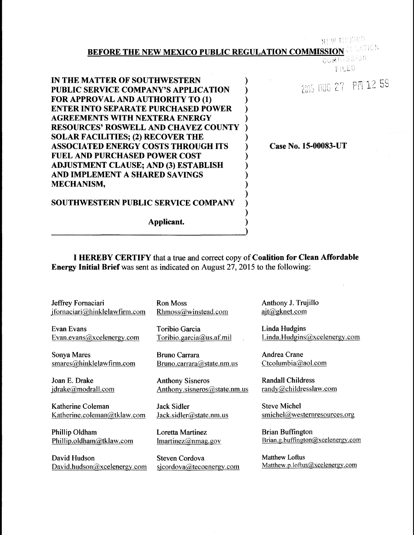## NEW EEXICO

# **BEFORE THE NEW MEXICO PUBLIC REGULATION COMMISSION CREATION COMMISSION**

**) ) ) ) ) ) ) ) ) ) ) ) ) ) ) )** FILED.

2015 AUG 27 PM 12 59

**IN THE MATTER OF SOUTHWESTERN PUBLIC SERVICE COMPANY'S APPLICATION FOR APPROVAL AND AUTHORITY TO (1) ENTER INTO SEPARATE PURCHASED POWER AGREEMENTS WITH NEXTERA ENERGY RESOURCES' ROSWELL AND CHAVEZ COUNTY SOLAR FACILITIES; (2) RECOVER THE ASSOCIATED ENERGY COSTS THROUGH ITS FUEL AND PURCHASED POWER COST ADJUSTMENT CLAUSE; AND (3) ESTABLISH AND IMPLEMENT A SHARED SAVINGS MECHANISM,**

**Case No.** 15-00083-UT

# **SOUTHWESTERN PUBLIC SERVICE COMPANY**

**Applicant.**

I **HEREBY CERTIFY** that a tree and correct copy of Coalition for Clean Affordable Energy Initial Brief was sent as indicated on August 27, 2015 to the following:

**Jeffrey Fornaciari**  $j$ fornaciari@hinklelawfirm.com

**Evan Evans** Evan.evans@xcelenergy.com

Sonya Mares smares@hinklelawfirm.com

**Joan E. Drake**

Katherine Coleman Katherine.coleman@tklaw.com

Phillip Oldham Phillip.oldham@tklaw.com

David Hudson David.hudson $@x$ celenergy.com Ron Moss Rhmoss@winstead.com

**Toribio Garcia** Toribio.garcia@us.af.mil

**Bruno Carrara** Bruno.carrara@state.nm.us

*jdrake@modrall.com* Anthony.sisneros@state.nm.us **Anthony Sisneros**

> **Jack** Sidler Jack.sidler@state.nm.us

Loretta Martinez  $lmartinez@nmag.gov$ 

**Steven Cordova** sjcordova@tecoenergy.com Anthony J. Trujillo<br>ajt@gknet.com

**Linda Hudgins** Linda.Hudgins@xcelenergy.com

**Andrea Crane** Ctcolumbia@aol.com

**Randall Childress** randv@childresslaw.com

Steve Michel smichel@westernresources.org

**Brian Buffington** Brian.g.buffington@xcelenergy.com

Matthew Loftus Matthew.p.loftus@xcelenergy.com